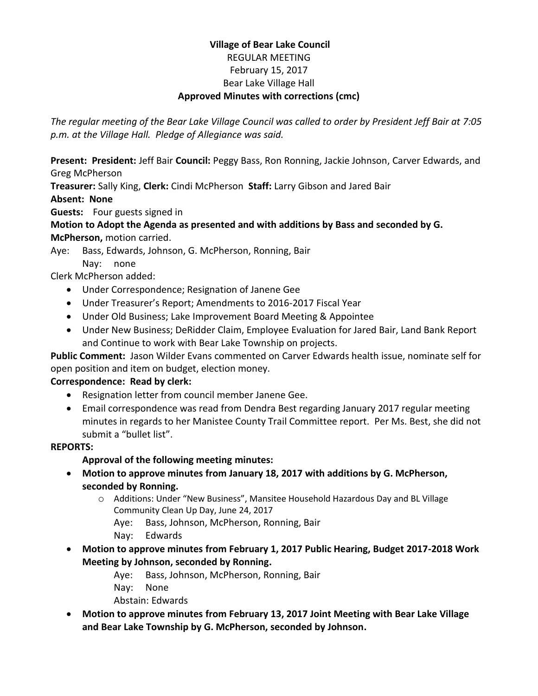## **Village of Bear Lake Council** REGULAR MEETING February 15, 2017 Bear Lake Village Hall **Approved Minutes with corrections (cmc)**

*The regular meeting of the Bear Lake Village Council was called to order by President Jeff Bair at 7:05 p.m. at the Village Hall. Pledge of Allegiance was said.*

**Present: President:** Jeff Bair **Council:** Peggy Bass, Ron Ronning, Jackie Johnson, Carver Edwards, and Greg McPherson

**Treasurer:** Sally King, **Clerk:** Cindi McPherson **Staff:** Larry Gibson and Jared Bair

**Absent: None**

**Guests:** Four guests signed in

**Motion to Adopt the Agenda as presented and with additions by Bass and seconded by G. McPherson,** motion carried.

Aye: Bass, Edwards, Johnson, G. McPherson, Ronning, Bair

Nay: none

Clerk McPherson added:

- Under Correspondence; Resignation of Janene Gee
- Under Treasurer's Report; Amendments to 2016-2017 Fiscal Year
- Under Old Business; Lake Improvement Board Meeting & Appointee
- Under New Business; DeRidder Claim, Employee Evaluation for Jared Bair, Land Bank Report and Continue to work with Bear Lake Township on projects.

**Public Comment:** Jason Wilder Evans commented on Carver Edwards health issue, nominate self for open position and item on budget, election money.

# **Correspondence: Read by clerk:**

- Resignation letter from council member Janene Gee.
- Email correspondence was read from Dendra Best regarding January 2017 regular meeting minutes in regards to her Manistee County Trail Committee report. Per Ms. Best, she did not submit a "bullet list".

# **REPORTS:**

# **Approval of the following meeting minutes:**

- **Motion to approve minutes from January 18, 2017 with additions by G. McPherson, seconded by Ronning.**
	- o Additions: Under "New Business", Mansitee Household Hazardous Day and BL Village Community Clean Up Day, June 24, 2017
		- Aye: Bass, Johnson, McPherson, Ronning, Bair
		- Nay: Edwards
- **Motion to approve minutes from February 1, 2017 Public Hearing, Budget 2017-2018 Work Meeting by Johnson, seconded by Ronning.**
	- Aye: Bass, Johnson, McPherson, Ronning, Bair
	- Nay: None
	- Abstain: Edwards
- **Motion to approve minutes from February 13, 2017 Joint Meeting with Bear Lake Village and Bear Lake Township by G. McPherson, seconded by Johnson.**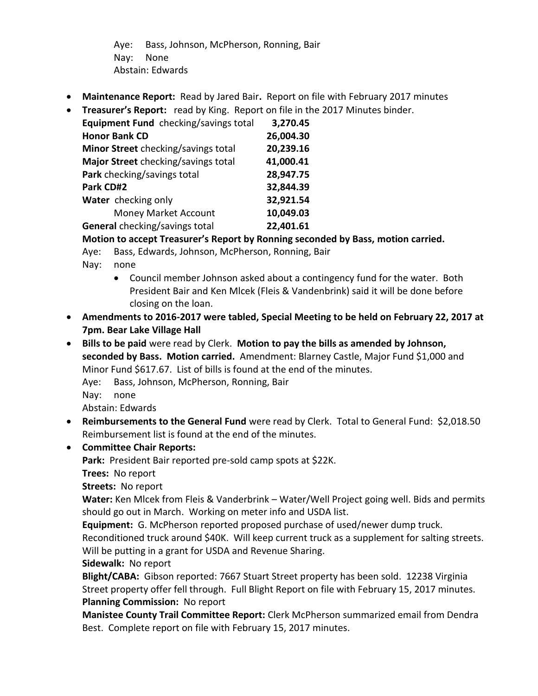Aye: Bass, Johnson, McPherson, Ronning, Bair Nay: None Abstain: Edwards

- **Maintenance Report:** Read by Jared Bair**.** Report on file with February 2017 minutes
- **Treasurer's Report:** read by King. Report on file in the 2017 Minutes binder.

| Equipment Fund checking/savings total | 3,270.45  |
|---------------------------------------|-----------|
| <b>Honor Bank CD</b>                  | 26,004.30 |
| Minor Street checking/savings total   | 20,239.16 |
| Major Street checking/savings total   | 41,000.41 |
| Park checking/savings total           | 28,947.75 |
| Park CD#2                             | 32,844.39 |
| Water checking only                   | 32,921.54 |
| Money Market Account                  | 10,049.03 |
| General checking/savings total        | 22,401.61 |

**Motion to accept Treasurer's Report by Ronning seconded by Bass, motion carried.**

Aye: Bass, Edwards, Johnson, McPherson, Ronning, Bair

- Nay: none
	- Council member Johnson asked about a contingency fund for the water. Both President Bair and Ken Mlcek (Fleis & Vandenbrink) said it will be done before closing on the loan.
- **Amendments to 2016-2017 were tabled, Special Meeting to be held on February 22, 2017 at 7pm. Bear Lake Village Hall**
- **Bills to be paid** were read by Clerk. **Motion to pay the bills as amended by Johnson, seconded by Bass. Motion carried.** Amendment: Blarney Castle, Major Fund \$1,000 and Minor Fund \$617.67. List of bills is found at the end of the minutes.

Aye: Bass, Johnson, McPherson, Ronning, Bair

Nay: none

Abstain: Edwards

• **Reimbursements to the General Fund** were read by Clerk. Total to General Fund: \$2,018.50 Reimbursement list is found at the end of the minutes.

# • **Committee Chair Reports:**

**Park:** President Bair reported pre-sold camp spots at \$22K.

**Trees:** No report

**Streets:** No report

**Water:** Ken Mlcek from Fleis & Vanderbrink – Water/Well Project going well. Bids and permits should go out in March. Working on meter info and USDA list.

**Equipment:** G. McPherson reported proposed purchase of used/newer dump truck.

Reconditioned truck around \$40K. Will keep current truck as a supplement for salting streets. Will be putting in a grant for USDA and Revenue Sharing.

**Sidewalk:** No report

**Blight/CABA:** Gibson reported: 7667 Stuart Street property has been sold. 12238 Virginia Street property offer fell through. Full Blight Report on file with February 15, 2017 minutes. **Planning Commission:** No report

**Manistee County Trail Committee Report:** Clerk McPherson summarized email from Dendra Best. Complete report on file with February 15, 2017 minutes.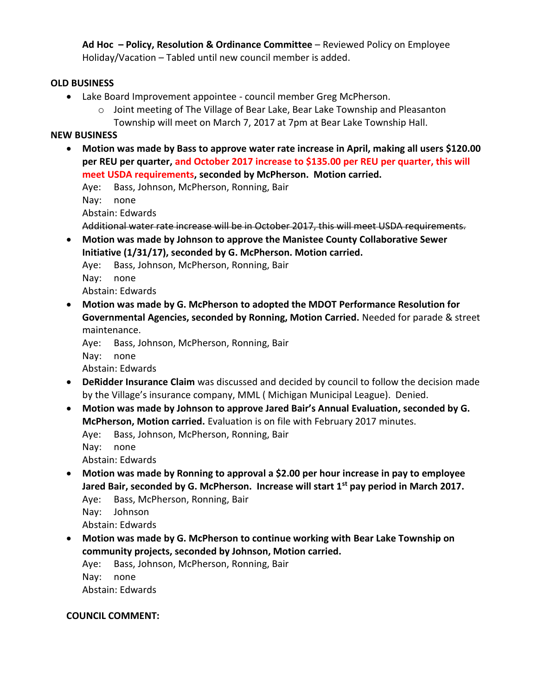**Ad Hoc – Policy, Resolution & Ordinance Committee** – Reviewed Policy on Employee Holiday/Vacation – Tabled until new council member is added.

### **OLD BUSINESS**

- Lake Board Improvement appointee council member Greg McPherson.
	- $\circ$  Joint meeting of The Village of Bear Lake, Bear Lake Township and Pleasanton Township will meet on March 7, 2017 at 7pm at Bear Lake Township Hall.

### **NEW BUSINESS**

• **Motion was made by Bass to approve water rate increase in April, making all users \$120.00 per REU per quarter, and October 2017 increase to \$135.00 per REU per quarter, this will meet USDA requirements, seconded by McPherson. Motion carried.**

Aye: Bass, Johnson, McPherson, Ronning, Bair

Nay: none

Abstain: Edwards

```
Additional water rate increase will be in October 2017, this will meet USDA requirements.
```
• **Motion was made by Johnson to approve the Manistee County Collaborative Sewer Initiative (1/31/17), seconded by G. McPherson. Motion carried.**

Aye: Bass, Johnson, McPherson, Ronning, Bair Nay: none

Abstain: Edwards

• **Motion was made by G. McPherson to adopted the MDOT Performance Resolution for Governmental Agencies, seconded by Ronning, Motion Carried.** Needed for parade & street maintenance.

Aye: Bass, Johnson, McPherson, Ronning, Bair Nay: none Abstain: Edwards

- **DeRidder Insurance Claim** was discussed and decided by council to follow the decision made by the Village's insurance company, MML ( Michigan Municipal League). Denied.
- **Motion was made by Johnson to approve Jared Bair's Annual Evaluation, seconded by G. McPherson, Motion carried.** Evaluation is on file with February 2017 minutes.

Aye: Bass, Johnson, McPherson, Ronning, Bair

Nay: none

Abstain: Edwards

• **Motion was made by Ronning to approval a \$2.00 per hour increase in pay to employee Jared Bair, seconded by G. McPherson. Increase will start 1st pay period in March 2017.**  Aye: Bass, McPherson, Ronning, Bair

Nay: Johnson

Abstain: Edwards

• **Motion was made by G. McPherson to continue working with Bear Lake Township on community projects, seconded by Johnson, Motion carried.** 

Aye: Bass, Johnson, McPherson, Ronning, Bair Nay: none Abstain: Edwards

## **COUNCIL COMMENT:**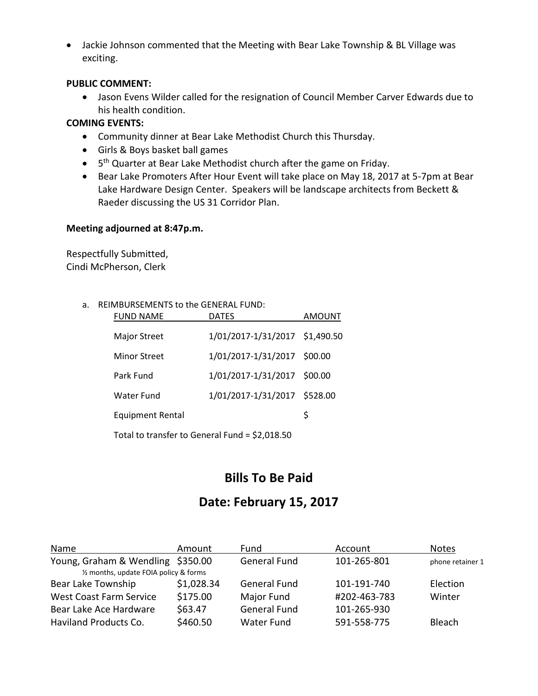• Jackie Johnson commented that the Meeting with Bear Lake Township & BL Village was exciting.

#### **PUBLIC COMMENT:**

• Jason Evens Wilder called for the resignation of Council Member Carver Edwards due to his health condition.

#### **COMING EVENTS:**

- Community dinner at Bear Lake Methodist Church this Thursday.
- Girls & Boys basket ball games
- 5<sup>th</sup> Quarter at Bear Lake Methodist church after the game on Friday.
- Bear Lake Promoters After Hour Event will take place on May 18, 2017 at 5-7pm at Bear Lake Hardware Design Center. Speakers will be landscape architects from Beckett & Raeder discussing the US 31 Corridor Plan.

#### **Meeting adjourned at 8:47p.m.**

Respectfully Submitted, Cindi McPherson, Clerk

#### a. REIMBURSEMENTS to the GENERAL FUND:

| <b>FUND NAME</b>        | <b>DATES</b>                   | AMOUNT |
|-------------------------|--------------------------------|--------|
| <b>Major Street</b>     | 1/01/2017-1/31/2017 \$1,490.50 |        |
| <b>Minor Street</b>     | 1/01/2017-1/31/2017 \$00.00    |        |
| Park Fund               | 1/01/2017-1/31/2017 \$00.00    |        |
| Water Fund              | 1/01/2017-1/31/2017 \$528.00   |        |
| <b>Equipment Rental</b> |                                | S      |
|                         |                                |        |

Total to transfer to General Fund = \$2,018.50

# **Bills To Be Paid**

# **Date: February 15, 2017**

| Name                                   | Amount     | Fund                | Account      | <b>Notes</b>     |  |
|----------------------------------------|------------|---------------------|--------------|------------------|--|
| Young, Graham & Wendling \$350.00      |            | <b>General Fund</b> | 101-265-801  | phone retainer 1 |  |
| 1/2 months, update FOIA policy & forms |            |                     |              |                  |  |
| Bear Lake Township                     | \$1,028.34 | <b>General Fund</b> | 101-191-740  | <b>Election</b>  |  |
| <b>West Coast Farm Service</b>         | \$175.00   | Major Fund          | #202-463-783 | Winter           |  |
| Bear Lake Ace Hardware                 | \$63.47    | <b>General Fund</b> | 101-265-930  |                  |  |
| <b>Haviland Products Co.</b>           | \$460.50   | <b>Water Fund</b>   | 591-558-775  | <b>Bleach</b>    |  |